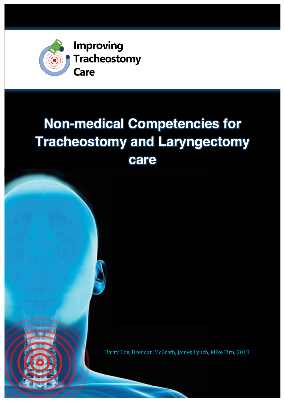

# **Non-medical Competencies for Tracheostomy and Laryngectomy care**

Barry Coe, Brendan McGrath, James Lynch, Mike Firn, 2018

 $\blacksquare$ 

and addition. In the set of  $\mathcal{A}$  is the set of  $\mathcal{A}$ . As if  $\mathcal{A}$  is the set of  $\mathcal{A}$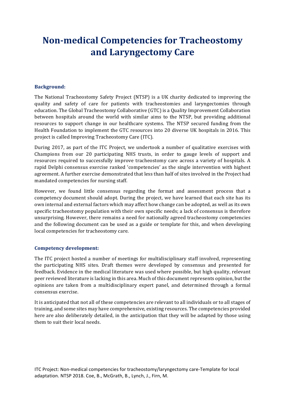# **Non-medical Competencies for Tracheostomy and Laryngectomy Care**

### **Background:**

The National Tracheostomy Safety Project (NTSP) is a UK charity dedicated to improving the quality and safety of care for patients with tracheostomies and laryngectomies through education. The Global Tracheostomy Collaborative (GTC) is a Quality Improvement Collaboration between hospitals around the world with similar aims to the NTSP, but providing additional resources to support change in our healthcare systems. The NTSP secured funding from the Health Foundation to implement the GTC resources into 20 diverse UK hospitals in 2016. This project is called Improving Tracheostomy Care (ITC).

During 2017, as part of the ITC Project, we undertook a number of qualitative exercises with Champions from our 20 participating NHS trusts, in order to gauge levels of support and resources required to successfully improve tracheostomy care across a variety of hospitals. A rapid Delphi consensus exercise ranked 'competencies' as the single intervention with highest agreement. A further exercise demonstrated that less than half of sites involved in the Project had mandated competencies for nursing staff.

However, we found little consensus regarding the format and assessment process that a competency document should adopt. During the project, we have learned that each site has its own internal and external factors which may affect how change can be adopted, as well as its own specific tracheostomy population with their own specific needs; a lack of consensus is therefore unsurprising. However, there remains a need for nationally agreed tracheostomy competencies and the following document can be used as a guide or template for this, and when developing local competencies for tracheostomy care.

#### **Competency development:**

The ITC project hosted a number of meetings for multidisciplinary staff involved, representing the participating NHS sites. Draft themes were developed by consensus and presented for feedback. Evidence in the medical literature was used where possible, but high quality, relevant peer reviewed literature is lacking in this area. Much of this document represents opinion, but the opinions are taken from a multidisciplinary expert panel, and determined through a formal consensus exercise.

It is anticipated that not all of these competencies are relevant to all individuals or to all stages of training, and some sites may have comprehensive, existing resources. The competencies provided here are also deliberately detailed, in the anticipation that they will be adapted by those using them to suit their local needs.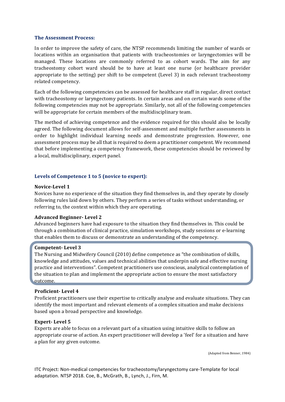#### **The Assessment Process:**

In order to improve the safety of care, the NTSP recommends limiting the number of wards or locations within an organisation that patients with tracheostomies or laryngectomies will be managed. These locations are commonly referred to as cohort wards. The aim for any tracheostomy cohort ward should be to have at least one nurse (or healthcare provider appropriate to the setting) per shift to be competent (Level 3) in each relevant tracheostomy related competency.

Each of the following competencies can be assessed for healthcare staff in regular, direct contact with tracheostomy or laryngectomy patients. In certain areas and on certain wards some of the following competencies may not be appropriate. Similarly, not all of the following competencies will be appropriate for certain members of the multidisciplinary team.

The method of achieving competence and the evidence required for this should also be locally agreed. The following document allows for self-assessment and multiple further assessments in order to highlight individual learning needs and demonstrate progression. However, one assessment process may be all that is required to deem a practitioner competent. We recommend that before implementing a competency framework, these competencies should be reviewed by a local, multidisciplinary, expert panel.

#### Levels of Competence 1 to 5 (novice to expert):

#### **Novice-Level 1**

Novices have no experience of the situation they find themselves in, and they operate by closely following rules laid down by others. They perform a series of tasks without understanding, or referring to, the context within which they are operating.

#### **Advanced Beginner- Level 2**

Advanced beginners have had exposure to the situation they find themselves in. This could be through a combination of clinical practice, simulation workshops, study sessions or e-learning that enables them to discuss or demonstrate an understanding of the competency.

#### **Competent- Level 3**

The Nursing and Midwifery Council (2010) define competence as "the combination of skills, knowledge and attitudes, values and technical abilities that underpin safe and effective nursing practice and interventions". Competent practitioners use conscious, analytical contemplation of the situation to plan and implement the appropriate action to ensure the most satisfactory outcome.

#### **Proficient- Level 4**

Proficient practitioners use their expertise to critically analyse and evaluate situations. They can identify the most important and relevant elements of a complex situation and make decisions based upon a broad perspective and knowledge.

#### **Expert-** Level 5

Experts are able to focus on a relevant part of a situation using intuitive skills to follow an appropriate course of action. An expert practitioner will develop a 'feel' for a situation and have a plan for any given outcome.

(Adapted from Benner, 1984)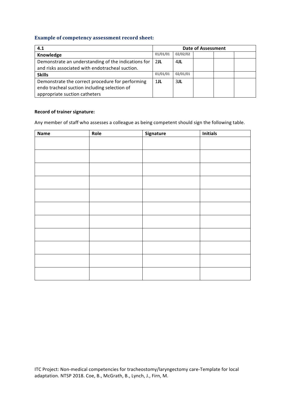## **Example of competency assessment record sheet:**

| 4.1                                                 | <b>Date of Assessment</b> |          |  |  |  |
|-----------------------------------------------------|---------------------------|----------|--|--|--|
| Knowledge                                           | 01/01/01                  | 02/02/02 |  |  |  |
| Demonstrate an understanding of the indications for | 2JL                       | 4JL      |  |  |  |
| and risks associated with endotracheal suction.     |                           |          |  |  |  |
| <b>Skills</b>                                       | 01/01/01                  | 02/01/01 |  |  |  |
| Demonstrate the correct procedure for performing    | $1$ JL                    | 3JL      |  |  |  |
| endo tracheal suction including selection of        |                           |          |  |  |  |
| appropriate suction catheters                       |                           |          |  |  |  |

#### **Record of trainer signature:**

Any member of staff who assesses a colleague as being competent should sign the following table.

| <b>Name</b> | Role | Signature | <b>Initials</b> |
|-------------|------|-----------|-----------------|
|             |      |           |                 |
|             |      |           |                 |
|             |      |           |                 |
|             |      |           |                 |
|             |      |           |                 |
|             |      |           |                 |
|             |      |           |                 |
|             |      |           |                 |
|             |      |           |                 |
|             |      |           |                 |
|             |      |           |                 |
|             |      |           |                 |
|             |      |           |                 |
|             |      |           |                 |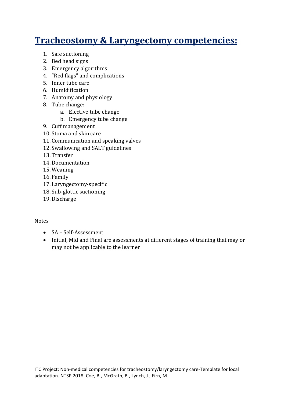# **Tracheostomy & Laryngectomy competencies:**

- 1. Safe suctioning
- 2. Bed head signs
- 3. Emergency algorithms
- 4. "Red flags" and complications
- 5. Inner tube care
- 6. Humidification
- 7. Anatomy and physiology
- 8. Tube change:
	- a. Elective tube change
	- b. Emergency tube change
- 9. Cuff management
- 10. Stoma and skin care
- 11. Communication and speaking valves
- 12. Swallowing and SALT guidelines
- 13. Transfer
- 14. Documentation
- 15. Weaning
- 16. Family
- 17. Laryngectomy-specific
- 18. Sub-glottic suctioning
- 19. Discharge

# Notes

- SA Self-Assessment
- Initial, Mid and Final are assessments at different stages of training that may or may not be applicable to the learner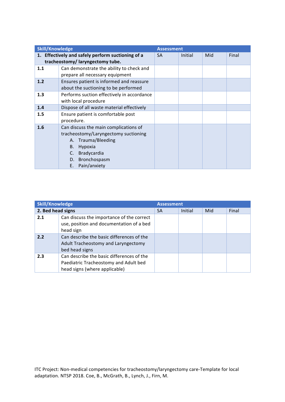| <b>Skill/Knowledge</b> |                                                   | <b>Assessment</b> |         |     |       |
|------------------------|---------------------------------------------------|-------------------|---------|-----|-------|
|                        | 1. Effectively and safely perform suctioning of a | <b>SA</b>         | Initial | Mid | Final |
|                        | tracheostomy/laryngectomy tube.                   |                   |         |     |       |
| 1.1                    | Can demonstrate the ability to check and          |                   |         |     |       |
|                        | prepare all necessary equipment                   |                   |         |     |       |
| 1.2                    | Ensures patient is informed and reassure          |                   |         |     |       |
|                        | about the suctioning to be performed              |                   |         |     |       |
| 1.3                    | Performs suction effectively in accordance        |                   |         |     |       |
|                        | with local procedure                              |                   |         |     |       |
| 1.4                    | Dispose of all waste material effectively         |                   |         |     |       |
| 1.5                    | Ensure patient is comfortable post                |                   |         |     |       |
|                        | procedure.                                        |                   |         |     |       |
| 1.6                    | Can discuss the main complications of             |                   |         |     |       |
|                        | tracheostomy/Laryngectomy suctioning              |                   |         |     |       |
|                        | Trauma/Bleeding<br>А.                             |                   |         |     |       |
|                        | Hypoxia<br>В.                                     |                   |         |     |       |
|                        | Bradycardia<br>C.                                 |                   |         |     |       |
|                        | Bronchospasm<br>D.                                |                   |         |     |       |
|                        | Pain/anxiety<br>Е.                                |                   |         |     |       |

| <b>Skill/Knowledge</b> |                                                                                                                     | <b>Assessment</b> |         |     |       |
|------------------------|---------------------------------------------------------------------------------------------------------------------|-------------------|---------|-----|-------|
| 2. Bed head signs      |                                                                                                                     | <b>SA</b>         | Initial | Mid | Final |
| 2.1                    | Can discuss the importance of the correct<br>use, position and documentation of a bed<br>head sign                  |                   |         |     |       |
| 2.2                    | Can describe the basic differences of the<br>Adult Tracheostomy and Laryngectomy<br>bed head signs                  |                   |         |     |       |
| 2.3                    | Can describe the basic differences of the<br>Paediatric Tracheostomy and Adult bed<br>head signs (where applicable) |                   |         |     |       |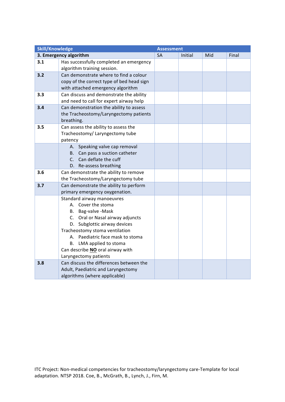| <b>Skill/Knowledge</b> |                                                             | <b>Assessment</b> |         |     |       |
|------------------------|-------------------------------------------------------------|-------------------|---------|-----|-------|
|                        | 3. Emergency algorithm                                      | <b>SA</b>         | Initial | Mid | Final |
| 3.1                    | Has successfully completed an emergency                     |                   |         |     |       |
|                        | algorithm training session.                                 |                   |         |     |       |
| 3.2                    | Can demonstrate where to find a colour                      |                   |         |     |       |
|                        | copy of the correct type of bed head sign                   |                   |         |     |       |
|                        | with attached emergency algorithm                           |                   |         |     |       |
| 3.3                    | Can discuss and demonstrate the ability                     |                   |         |     |       |
|                        | and need to call for expert airway help                     |                   |         |     |       |
| 3.4                    | Can demonstration the ability to assess                     |                   |         |     |       |
|                        | the Tracheostomy/Laryngectomy patients                      |                   |         |     |       |
|                        | breathing.                                                  |                   |         |     |       |
| 3.5                    | Can assess the ability to assess the                        |                   |         |     |       |
|                        | Tracheostomy/ Laryngectomy tube                             |                   |         |     |       |
|                        | patency<br>A. Speaking valve cap removal                    |                   |         |     |       |
|                        | B. Can pass a suction catheter                              |                   |         |     |       |
|                        | C. Can deflate the cuff                                     |                   |         |     |       |
|                        | D. Re-assess breathing                                      |                   |         |     |       |
| 3.6                    | Can demonstrate the ability to remove                       |                   |         |     |       |
|                        | the Tracheostomy/Laryngectomy tube                          |                   |         |     |       |
| 3.7                    | Can demonstrate the ability to perform                      |                   |         |     |       |
|                        | primary emergency oxygenation.                              |                   |         |     |       |
|                        | Standard airway manoeuvres                                  |                   |         |     |       |
|                        | A. Cover the stoma                                          |                   |         |     |       |
|                        | B. Bag-valve-Mask                                           |                   |         |     |       |
|                        | C. Oral or Nasal airway adjuncts                            |                   |         |     |       |
|                        | D. Subglottic airway devices                                |                   |         |     |       |
|                        | Tracheostomy stoma ventilation                              |                   |         |     |       |
|                        | A. Paediatric face mask to stoma                            |                   |         |     |       |
|                        | B. LMA applied to stoma<br>Can describe NO oral airway with |                   |         |     |       |
|                        | Laryngectomy patients                                       |                   |         |     |       |
| 3.8                    | Can discuss the differences between the                     |                   |         |     |       |
|                        | Adult, Paediatric and Laryngectomy                          |                   |         |     |       |
|                        | algorithms (where applicable)                               |                   |         |     |       |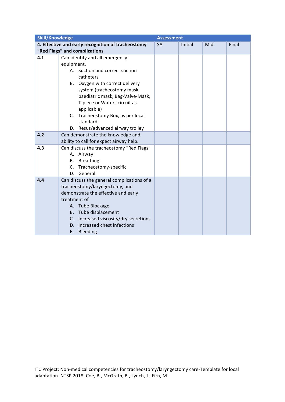| <b>Skill/Knowledge</b> |                                                           | <b>Assessment</b> |         |     |       |
|------------------------|-----------------------------------------------------------|-------------------|---------|-----|-------|
|                        | 4. Effective and early recognition of tracheostomy        | <b>SA</b>         | Initial | Mid | Final |
|                        | "Red Flags" and complications                             |                   |         |     |       |
| 4.1                    | Can identify and all emergency                            |                   |         |     |       |
|                        | equipment.                                                |                   |         |     |       |
|                        | A. Suction and correct suction                            |                   |         |     |       |
|                        | catheters                                                 |                   |         |     |       |
|                        | B. Oxygen with correct delivery                           |                   |         |     |       |
|                        | system (tracheostomy mask,                                |                   |         |     |       |
|                        | paediatric mask, Bag-Valve-Mask,                          |                   |         |     |       |
|                        | T-piece or Waters circuit as                              |                   |         |     |       |
|                        | applicable)                                               |                   |         |     |       |
|                        | C. Tracheostomy Box, as per local                         |                   |         |     |       |
|                        | standard.                                                 |                   |         |     |       |
|                        | D. Resus/advanced airway trolley                          |                   |         |     |       |
| 4.2                    | Can demonstrate the knowledge and                         |                   |         |     |       |
|                        | ability to call for expect airway help.                   |                   |         |     |       |
| 4.3                    | Can discuss the tracheostomy "Red Flags"                  |                   |         |     |       |
|                        | A. Airway                                                 |                   |         |     |       |
|                        | <b>B.</b> Breathing                                       |                   |         |     |       |
|                        | C. Tracheostomy-specific                                  |                   |         |     |       |
|                        | General<br>D.                                             |                   |         |     |       |
| 4.4                    | Can discuss the general complications of a                |                   |         |     |       |
|                        | tracheostomy/laryngectomy, and                            |                   |         |     |       |
|                        | demonstrate the effective and early                       |                   |         |     |       |
|                        | treatment of                                              |                   |         |     |       |
|                        | A. Tube Blockage                                          |                   |         |     |       |
|                        | B. Tube displacement                                      |                   |         |     |       |
|                        | Increased viscosity/dry secretions<br>C.                  |                   |         |     |       |
|                        |                                                           |                   |         |     |       |
|                        | Increased chest infections<br>D.<br>E.<br><b>Bleeding</b> |                   |         |     |       |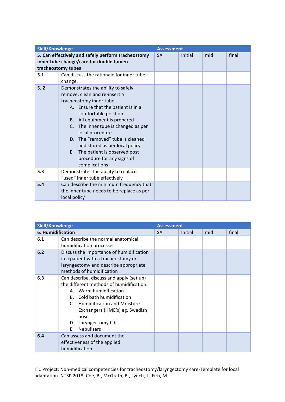| <b>Skill/Knowledge</b> |                                                                                                                                                                                                                                                                                                                                                                                                                | <b>Assessment</b> |         |     |       |
|------------------------|----------------------------------------------------------------------------------------------------------------------------------------------------------------------------------------------------------------------------------------------------------------------------------------------------------------------------------------------------------------------------------------------------------------|-------------------|---------|-----|-------|
|                        | 5. Can effectively and safely perform tracheostomy<br>inner tube change/care for double-lumen<br>tracheostomy tubes                                                                                                                                                                                                                                                                                            | <b>SA</b>         | Initial | mid | final |
| 5.1                    | Can discuss the rationale for inner tube<br>change.                                                                                                                                                                                                                                                                                                                                                            |                   |         |     |       |
| 5.2                    | Demonstrates the ability to safely<br>remove, clean and re-insert a<br>tracheostomy inner tube<br>A. Ensure that the patient is in a<br>comfortable position<br>B. All equipment is prepared<br>C. The inner tube is changed as per<br>local procedure<br>D. The "removed" tube is cleaned<br>and stored as per local policy<br>E. The patient is observed post<br>procedure for any signs of<br>complications |                   |         |     |       |
| 5.3                    | Demonstrates the ability to replace<br>"used" inner tube effectively                                                                                                                                                                                                                                                                                                                                           |                   |         |     |       |
| 5.4                    | Can describe the minimum frequency that<br>the inner tube needs to be replace as per<br>local policy                                                                                                                                                                                                                                                                                                           |                   |         |     |       |

| <b>Skill/Knowledge</b> |                                          | <b>Assessment</b> |         |     |       |
|------------------------|------------------------------------------|-------------------|---------|-----|-------|
| 6. Humidification      |                                          | <b>SA</b>         | Initial | mid | final |
| 6.1                    | Can describe the normal anatomical       |                   |         |     |       |
|                        | humidification processes                 |                   |         |     |       |
| 6.2                    | Discuss the importance of humidification |                   |         |     |       |
|                        | in a patient with a tracheostomy or      |                   |         |     |       |
|                        | laryngectomy and describe appropriate    |                   |         |     |       |
|                        | methods of humidification                |                   |         |     |       |
| 6.3                    | Can describe, discuss and apply (set up) |                   |         |     |       |
|                        | the different methods of humidification. |                   |         |     |       |
|                        | Warm humidification<br>А.                |                   |         |     |       |
|                        | Cold bath humidification<br>B.           |                   |         |     |       |
|                        | C. Humidification and Moisture           |                   |         |     |       |
|                        | Exchangers (HME's) eg. Swedish           |                   |         |     |       |
|                        | nose                                     |                   |         |     |       |
|                        | D. Laryngectomy bib                      |                   |         |     |       |
|                        | <b>Nebulisers</b><br>F.                  |                   |         |     |       |
| 6.4                    | Can assess and document the              |                   |         |     |       |
|                        | effectiveness of the applied             |                   |         |     |       |
|                        | humidification                           |                   |         |     |       |

ITC Project: Non-medical competencies for tracheostomy/laryngectomy care-Template for local adaptation. NTSP 2018. Coe, B., McGrath, B., Lynch, J., Firn, M.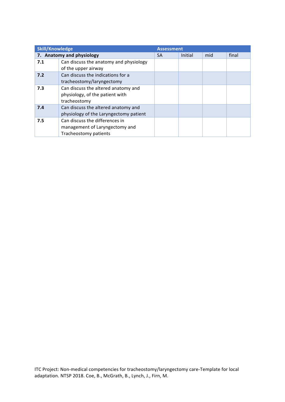| <b>Skill/Knowledge</b><br><b>Assessment</b> |                                                                                           |    |         |     |       |
|---------------------------------------------|-------------------------------------------------------------------------------------------|----|---------|-----|-------|
|                                             | 7. Anatomy and physiology                                                                 | SА | Initial | mid | final |
| 7.1                                         | Can discuss the anatomy and physiology<br>of the upper airway                             |    |         |     |       |
| 7.2                                         | Can discuss the indications for a<br>tracheostomy/laryngectomy                            |    |         |     |       |
| 7.3                                         | Can discuss the altered anatomy and<br>physiology, of the patient with<br>tracheostomy    |    |         |     |       |
| 7.4                                         | Can discuss the altered anatomy and<br>physiology of the Laryngectomy patient             |    |         |     |       |
| 7.5                                         | Can discuss the differences in<br>management of Laryngectomy and<br>Tracheostomy patients |    |         |     |       |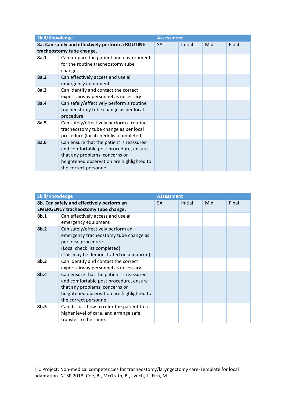| <b>Skill/Knowledge</b> |                                                                                                                                                                                             | <b>Assessment</b> |         |     |       |
|------------------------|---------------------------------------------------------------------------------------------------------------------------------------------------------------------------------------------|-------------------|---------|-----|-------|
|                        | 8a. Can safely and effectively perform a ROUTINE<br>tracheostomy tube change.                                                                                                               | <b>SA</b>         | Initial | Mid | Final |
| 8a.1                   | Can prepare the patient and environment<br>for the routine tracheostomy tube<br>change.                                                                                                     |                   |         |     |       |
| 8a.2                   | Can effectively access and use all<br>emergency equipment                                                                                                                                   |                   |         |     |       |
| 8a.3                   | Can identify and contact the correct<br>expert airway personnel as necessary                                                                                                                |                   |         |     |       |
| 8a.4                   | Can safely/effectively perform a routine<br>tracheostomy tube change as per local<br>procedure                                                                                              |                   |         |     |       |
| 8a.5                   | Can safely/effectively perform a routine<br>tracheostomy tube change as per local<br>procedure (local check list completed)                                                                 |                   |         |     |       |
| 8a.6                   | Can ensure that the patient is reassured<br>and comfortable post procedure, ensure<br>that any problems, concerns or<br>heightened observation are highlighted to<br>the correct personnel. |                   |         |     |       |

| <b>Skill/Knowledge</b> |                                                                                                                                                                                             | <b>Assessment</b> |         |     |       |
|------------------------|---------------------------------------------------------------------------------------------------------------------------------------------------------------------------------------------|-------------------|---------|-----|-------|
|                        | 8b. Can safely and effectively perform an<br><b>EMERGENCY tracheostomy tube change.</b>                                                                                                     | <b>SA</b>         | Initial | Mid | Final |
| 8b.1                   | Can effectively access and use all<br>emergency equipment                                                                                                                                   |                   |         |     |       |
| 8b.2                   | Can safely/effectively perform an<br>emergency tracheostomy tube change as<br>per local procedure<br>(Local check list completed)<br>(This may be demonstrated on a manikin)                |                   |         |     |       |
| 8 <sub>b.3</sub>       | Can identify and contact the correct<br>expert airway personnel as necessary                                                                                                                |                   |         |     |       |
| 8b.4                   | Can ensure that the patient is reassured<br>and comfortable post procedure, ensure<br>that any problems, concerns or<br>heightened observation are highlighted to<br>the correct personnel. |                   |         |     |       |
| 8b.5                   | Can discuss how to refer the patient to a<br>higher level of care, and arrange safe<br>transfer to the same.                                                                                |                   |         |     |       |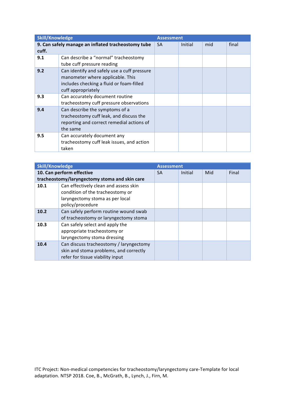| <b>Skill/Knowledge</b> |                                                                                                                                                   | <b>Assessment</b> |         |     |       |
|------------------------|---------------------------------------------------------------------------------------------------------------------------------------------------|-------------------|---------|-----|-------|
| cuff.                  | 9. Can safely manage an inflated tracheostomy tube                                                                                                | <b>SA</b>         | Initial | mid | final |
| 9.1                    | Can describe a "normal" tracheostomy<br>tube cuff pressure reading                                                                                |                   |         |     |       |
| 9.2                    | Can identify and safely use a cuff pressure<br>manometer where applicable. This<br>includes checking a fluid or foam-filled<br>cuff appropriately |                   |         |     |       |
| 9.3                    | Can accurately document routine<br>tracheostomy cuff pressure observations                                                                        |                   |         |     |       |
| 9.4                    | Can describe the symptoms of a<br>tracheostomy cuff leak, and discuss the<br>reporting and correct remedial actions of<br>the same                |                   |         |     |       |
| 9.5                    | Can accurately document any<br>tracheostomy cuff leak issues, and action<br>taken                                                                 |                   |         |     |       |

| <b>Skill/Knowledge</b> |                                               | <b>Assessment</b> |         |     |       |
|------------------------|-----------------------------------------------|-------------------|---------|-----|-------|
|                        | 10. Can perform effective                     | <b>SA</b>         | Initial | Mid | Final |
|                        | tracheostomy/laryngectomy stoma and skin care |                   |         |     |       |
| 10.1                   | Can effectively clean and assess skin         |                   |         |     |       |
|                        | condition of the tracheostomy or              |                   |         |     |       |
|                        | laryngectomy stoma as per local               |                   |         |     |       |
|                        | policy/procedure                              |                   |         |     |       |
| 10.2                   | Can safely perform routine wound swab         |                   |         |     |       |
|                        | of tracheostomy or laryngectomy stoma         |                   |         |     |       |
| 10.3                   | Can safely select and apply the               |                   |         |     |       |
|                        | appropriate tracheostomy or                   |                   |         |     |       |
|                        | laryngectomy stoma dressing                   |                   |         |     |       |
| 10.4                   | Can discuss tracheostomy / laryngectomy       |                   |         |     |       |
|                        | skin and stoma problems, and correctly        |                   |         |     |       |
|                        | refer for tissue viability input              |                   |         |     |       |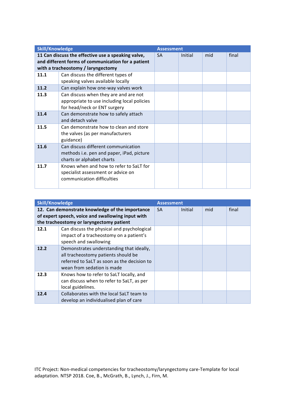| <b>Skill/Knowledge</b> |                                                                                                                                                | <b>Assessment</b> |         |     |       |
|------------------------|------------------------------------------------------------------------------------------------------------------------------------------------|-------------------|---------|-----|-------|
|                        | 11 Can discuss the effective use a speaking valve,<br>and different forms of communication for a patient<br>with a tracheostomy / laryngectomy | <b>SA</b>         | Initial | mid | final |
| 11.1                   | Can discuss the different types of<br>speaking valves available locally                                                                        |                   |         |     |       |
| 11.2                   | Can explain how one-way valves work                                                                                                            |                   |         |     |       |
| 11.3                   | Can discuss when they are and are not<br>appropriate to use including local policies<br>for head/neck or ENT surgery                           |                   |         |     |       |
| 11.4                   | Can demonstrate how to safely attach<br>and detach valve                                                                                       |                   |         |     |       |
| 11.5                   | Can demonstrate how to clean and store<br>the valves (as per manufacturers<br>guidance)                                                        |                   |         |     |       |
| 11.6                   | Can discuss different communication<br>methods i.e. pen and paper, iPad, picture<br>charts or alphabet charts                                  |                   |         |     |       |
| 11.7                   | Knows when and how to refer to SaLT for<br>specialist assessment or advice on<br>communication difficulties                                    |                   |         |     |       |

| <b>Skill/Knowledge</b>                                                                                                                           |                                                                                                                                                              | <b>Assessment</b> |         |     |       |
|--------------------------------------------------------------------------------------------------------------------------------------------------|--------------------------------------------------------------------------------------------------------------------------------------------------------------|-------------------|---------|-----|-------|
| 12. Can demonstrate knowledge of the importance<br>of expert speech, voice and swallowing input with<br>the tracheostomy or laryngectomy patient |                                                                                                                                                              | <b>SA</b>         | Initial | mid | final |
| 12.1                                                                                                                                             | Can discuss the physical and psychological<br>impact of a tracheostomy on a patient's<br>speech and swallowing                                               |                   |         |     |       |
| 12.2                                                                                                                                             | Demonstrates understanding that ideally,<br>all tracheostomy patients should be<br>referred to SaLT as soon as the decision to<br>wean from sedation is made |                   |         |     |       |
| 12.3                                                                                                                                             | Knows how to refer to SaLT locally, and<br>can discuss when to refer to SaLT, as per<br>local guidelines.                                                    |                   |         |     |       |
| 12.4                                                                                                                                             | Collaborates with the local SaLT team to<br>develop an individualised plan of care                                                                           |                   |         |     |       |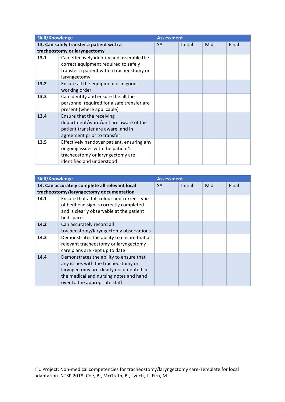| <b>Skill/Knowledge</b> |                                            | <b>Assessment</b> |         |     |       |
|------------------------|--------------------------------------------|-------------------|---------|-----|-------|
|                        | 13. Can safely transfer a patient with a   | <b>SA</b>         | Initial | Mid | Final |
|                        | tracheostomy or laryngectomy               |                   |         |     |       |
| 13.1                   | Can effectively identify and assemble the  |                   |         |     |       |
|                        | correct equipment required to safely       |                   |         |     |       |
|                        | transfer a patient with a tracheostomy or  |                   |         |     |       |
|                        | laryngectomy                               |                   |         |     |       |
| 13.2                   | Ensure all the equipment is in good        |                   |         |     |       |
|                        | working order                              |                   |         |     |       |
| 13.3                   | Can identify and ensure the all the        |                   |         |     |       |
|                        | personnel required for a safe transfer are |                   |         |     |       |
|                        | present (where applicable)                 |                   |         |     |       |
| 13.4                   | Ensure that the receiving                  |                   |         |     |       |
|                        | department/ward/unit are aware of the      |                   |         |     |       |
|                        | patient transfer are aware, and in         |                   |         |     |       |
|                        | agreement prior to transfer                |                   |         |     |       |
| 13.5                   | Effectively handover patient, ensuring any |                   |         |     |       |
|                        | ongoing issues with the patient's          |                   |         |     |       |
|                        | tracheostomy or laryngectomy are           |                   |         |     |       |
|                        | identified and understood                  |                   |         |     |       |

| <b>Skill/Knowledge</b> |                                                                                                                                                                                                     | <b>Assessment</b> |         |     |       |
|------------------------|-----------------------------------------------------------------------------------------------------------------------------------------------------------------------------------------------------|-------------------|---------|-----|-------|
|                        | 14. Can accurately complete all relevant local<br>tracheostomy/laryngectomy documentation                                                                                                           | <b>SA</b>         | Initial | Mid | Final |
| 14.1                   | Ensure that a full colour and correct type<br>of bedhead sign is correctly completed<br>and is clearly observable at the patient<br>bed space.                                                      |                   |         |     |       |
| 14.2                   | Can accurately record all<br>tracheostomy/laryngectomy observations                                                                                                                                 |                   |         |     |       |
| 14.3                   | Demonstrates the ability to ensure that all<br>relevant tracheostomy or laryngectomy<br>care plans are kept up to date                                                                              |                   |         |     |       |
| 14.4                   | Demonstrates the ability to ensure that<br>any issues with the tracheostomy or<br>laryngectomy are clearly documented in<br>the medical and nursing notes and hand<br>over to the appropriate staff |                   |         |     |       |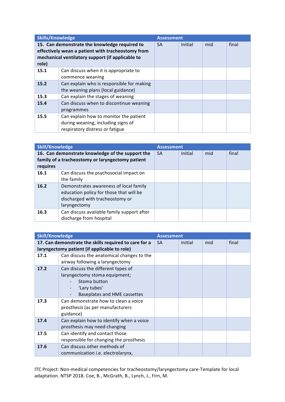| <b>Skills/Knowledge</b>                                                                                                                                         |                                                                                                                 | <b>Assessment</b> |         |     |       |
|-----------------------------------------------------------------------------------------------------------------------------------------------------------------|-----------------------------------------------------------------------------------------------------------------|-------------------|---------|-----|-------|
| 15. Can demonstrate the knowledge required to<br>effectively wean a patient with tracheostomy from<br>mechanical ventilatory support (if applicable to<br>role) |                                                                                                                 | <b>SA</b>         | Initial | mid | final |
| 15.1                                                                                                                                                            | Can discuss when it is appropriate to<br>commence weaning                                                       |                   |         |     |       |
| 15.2                                                                                                                                                            | Can explain who is responsible for making<br>the weaning plans (local guidance)                                 |                   |         |     |       |
| 15.3                                                                                                                                                            | Can explain the stages of weaning                                                                               |                   |         |     |       |
| 15.4                                                                                                                                                            | Can discuss when to discontinue weaning<br>programmes                                                           |                   |         |     |       |
| 15.5                                                                                                                                                            | Can explain how to monitor the patient<br>during weaning, including signs of<br>respiratory distress or fatigue |                   |         |     |       |

| <b>Skill/Knowledge</b>                                                                                           |                                                                                                                                      | <b>Assessment</b> |         |     |       |
|------------------------------------------------------------------------------------------------------------------|--------------------------------------------------------------------------------------------------------------------------------------|-------------------|---------|-----|-------|
| 16. Can demonstrate knowledge of the support the<br>family of a tracheostomy or laryngectomy patient<br>requires |                                                                                                                                      | <b>SA</b>         | Initial | mid | final |
| 16.1                                                                                                             | Can discuss the psychosocial impact on<br>the family                                                                                 |                   |         |     |       |
| 16.2                                                                                                             | Demonstrates awareness of local family<br>education policy for those that will be<br>discharged with tracheostomy or<br>laryngectomy |                   |         |     |       |
| 16.3                                                                                                             | Can discuss available family support after<br>discharge from hospital                                                                |                   |         |     |       |

| <b>Skill/Knowledge</b> |                                                       | <b>Assessment</b> |         |     |       |
|------------------------|-------------------------------------------------------|-------------------|---------|-----|-------|
|                        | 17. Can demonstrate the skills required to care for a | <b>SA</b>         | Initial | mid | final |
|                        | laryngectomy patient (if applicable to role)          |                   |         |     |       |
| 17.1                   | Can discuss the anatomical changes to the             |                   |         |     |       |
|                        | airway following a laryngectomy                       |                   |         |     |       |
| 17.2                   | Can discuss the different types of                    |                   |         |     |       |
|                        | laryngectomy stoma equipment;                         |                   |         |     |       |
|                        | Stoma button                                          |                   |         |     |       |
|                        | 'Lary tubes'                                          |                   |         |     |       |
|                        | Baseplates and HME cassettes                          |                   |         |     |       |
| 17.3                   | Can demonstrate how to clean a voice                  |                   |         |     |       |
|                        | prosthesis (as per manufacturers                      |                   |         |     |       |
|                        | guidance)                                             |                   |         |     |       |
| 17.4                   | Can explain how to identify when a voice              |                   |         |     |       |
|                        | prosthesis may need changing                          |                   |         |     |       |
| 17.5                   | Can identify and contact those                        |                   |         |     |       |
|                        | responsible for changing the prosthesis               |                   |         |     |       |
| 17.6                   | Can discuss other methods of                          |                   |         |     |       |
|                        | communication i.e. electrolarynx,                     |                   |         |     |       |

ITC Project: Non-medical competencies for tracheostomy/laryngectomy care-Template for local adaptation. NTSP 2018. Coe, B., McGrath, B., Lynch, J., Firn, M.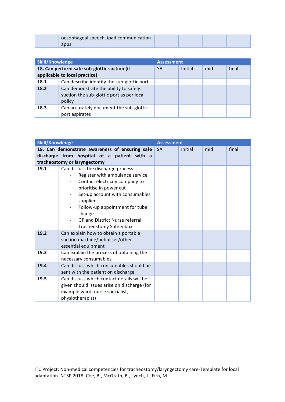| oesophageal speech, ipad communication |  |  |
|----------------------------------------|--|--|
| apps                                   |  |  |

| <b>Skill/Knowledge</b>                                                        |                                                                                              | <b>Assessment</b> |         |     |       |
|-------------------------------------------------------------------------------|----------------------------------------------------------------------------------------------|-------------------|---------|-----|-------|
| 18. Can perform safe sub-glottic suction (if<br>applicable to local practice) |                                                                                              | <b>SA</b>         | Initial | mid | final |
| 18.1                                                                          | Can describe identify the sub-glottic port                                                   |                   |         |     |       |
| 18.2                                                                          | Can demonstrate the ability to safely<br>suction the sub-glottic port as per local<br>policy |                   |         |     |       |
| 18.3                                                                          | Can accurately document the sub-glottic<br>port aspirates                                    |                   |         |     |       |

| <b>Skill/Knowledge</b> |                                                                                                                                                                                                                                                                        | <b>Assessment</b> |         |     |       |
|------------------------|------------------------------------------------------------------------------------------------------------------------------------------------------------------------------------------------------------------------------------------------------------------------|-------------------|---------|-----|-------|
|                        | 19. Can demonstrate awareness of ensuring safe                                                                                                                                                                                                                         | <b>SA</b>         | Initial | mid | final |
|                        | discharge from hospital of a patient with a                                                                                                                                                                                                                            |                   |         |     |       |
|                        | tracheostomy or laryngectomy                                                                                                                                                                                                                                           |                   |         |     |       |
| 19.1                   | Can discuss the discharge process:<br>Register with ambulance service<br>Contact electricity company to<br>prioritise in power cut<br>Set-up account with consumables<br>supplier<br>Follow-up appointment for tube<br>change<br><b>GP and District Nurse referral</b> |                   |         |     |       |
|                        | Tracheostomy Safety box<br>$\overline{\phantom{a}}$                                                                                                                                                                                                                    |                   |         |     |       |
| 19.2                   | Can explain how to obtain a portable<br>suction machine/nebuliser/other<br>essential equipment                                                                                                                                                                         |                   |         |     |       |
| 19.3                   | Can explain the process of obtaining the<br>necessary consumables                                                                                                                                                                                                      |                   |         |     |       |
| 19.4                   | Can discuss which consumables should be<br>sent with the patient on discharge                                                                                                                                                                                          |                   |         |     |       |
| 19.5                   | Can discuss which contact details will be<br>given should issues arise on discharge (for<br>example ward, nurse specialist,<br>physiotherapist)                                                                                                                        |                   |         |     |       |